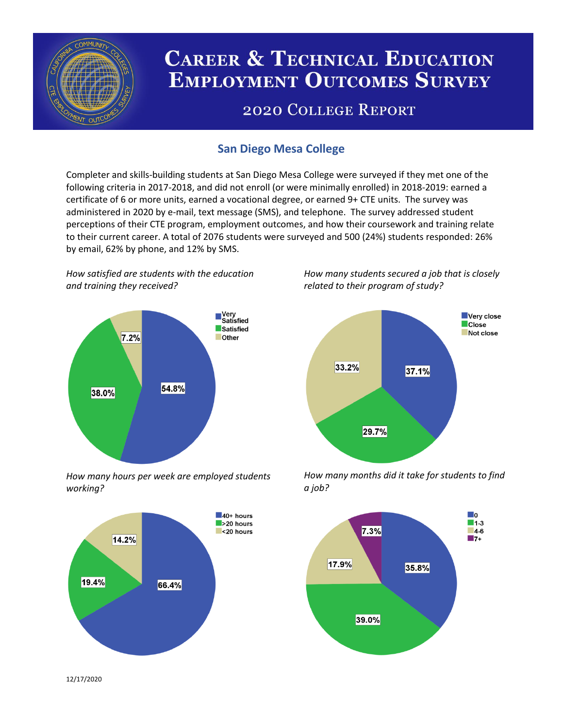

# **CAREER & TECHNICAL EDUCATION EMPLOYMENT OUTCOMES SURVEY**

## **2020 COLLEGE REPORT**

## **San Diego Mesa College**

Completer and skills-building students at San Diego Mesa College were surveyed if they met one of the following criteria in 2017-2018, and did not enroll (or were minimally enrolled) in 2018-2019: earned a certificate of 6 or more units, earned a vocational degree, or earned 9+ CTE units. The survey was administered in 2020 by e-mail, text message (SMS), and telephone. The survey addressed student perceptions of their CTE program, employment outcomes, and how their coursework and training relate to their current career. A total of 2076 students were surveyed and 500 (24%) students responded: 26% by email, 62% by phone, and 12% by SMS.

*How satisfied are students with the education and training they received?*



*How many hours per week are employed students working?*



*How many students secured a job that is closely related to their program of study?*



*How many months did it take for students to find a job?*



12/17/2020